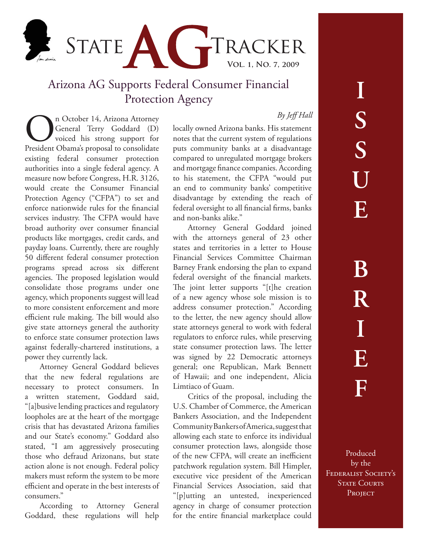

## Arizona AG Supports Federal Consumer Financial Protection Agency

## *By Jeff Hall*

On October 14, Arizona Attorney<br>
General Terry Goddard (D)<br>
voiced his strong support for<br>
President Obama's proposal to consolidate General Terry Goddard (D) voiced his strong support for existing federal consumer protection authorities into a single federal agency. A measure now before Congress, H.R. 3126, would create the Consumer Financial Protection Agency ("CFPA") to set and enforce nationwide rules for the financial services industry. The CFPA would have broad authority over consumer financial products like mortgages, credit cards, and payday loans. Currently, there are roughly 50 different federal consumer protection programs spread across six different agencies. The proposed legislation would consolidate those programs under one agency, which proponents suggest will lead to more consistent enforcement and more efficient rule making. The bill would also give state attorneys general the authority to enforce state consumer protection laws against federally-chartered institutions, a power they currently lack.

Attorney General Goddard believes that the new federal regulations are necessary to protect consumers. In a written statement, Goddard said, "[a]busive lending practices and regulatory loopholes are at the heart of the mortgage crisis that has devastated Arizona families and our State's economy." Goddard also stated, "I am aggressively prosecuting those who defraud Arizonans, but state action alone is not enough. Federal policy makers must reform the system to be more efficient and operate in the best interests of consumers."

According to Attorney General Goddard, these regulations will help locally owned Arizona banks. His statement notes that the current system of regulations puts community banks at a disadvantage compared to unregulated mortgage brokers and mortgage finance companies. According to his statement, the CFPA "would put an end to community banks' competitive disadvantage by extending the reach of federal oversight to all financial firms, banks and non-banks alike."

Attorney General Goddard joined with the attorneys general of 23 other states and territories in a letter to House Financial Services Committee Chairman Barney Frank endorsing the plan to expand federal oversight of the financial markets. The joint letter supports "[t]he creation of a new agency whose sole mission is to address consumer protection." According to the letter, the new agency should allow state attorneys general to work with federal regulators to enforce rules, while preserving state consumer protection laws. The letter was signed by 22 Democratic attorneys general; one Republican, Mark Bennett of Hawaii; and one independent, Alicia Limtiaco of Guam.

Critics of the proposal, including the U.S. Chamber of Commerce, the American Bankers Association, and the Independent Community Bankers of America, suggest that allowing each state to enforce its individual consumer protection laws, alongside those of the new CFPA, will create an inefficient patchwork regulation system. Bill Himpler, executive vice president of the American Financial Services Association, said that "[p]utting an untested, inexperienced agency in charge of consumer protection for the entire financial marketplace could

Produced by the FEDERALIST SOCIETY'S **STATE COURTS** PROJECT